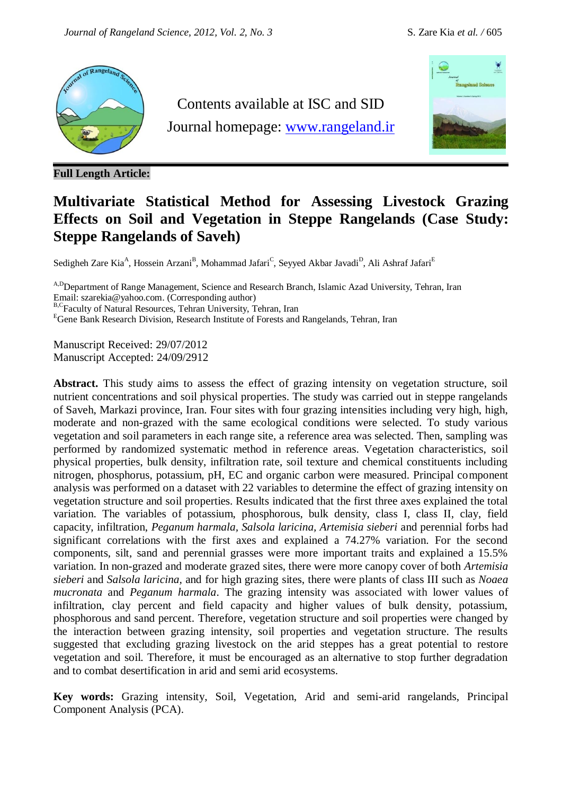

**Full Length Article:**

Contents available at ISC and SID Journal homepage: [www.rangeland.ir](http://www.rangeland.ir/)



# **Multivariate Statistical Method for Assessing Livestock Grazing Effects on Soil and Vegetation in Steppe Rangelands (Case Study: Steppe Rangelands of Saveh)**

Sedigheh Zare Kia<sup>A</sup>, Hossein Arzani<sup>B</sup>, Mohammad Jafari<sup>C</sup>, Seyyed Akbar Javadi<sup>D</sup>, Ali Ashraf Jafari<sup>E</sup>

<sup>A,D</sup>Department of Range Management, Science and Research Branch, Islamic Azad University, Tehran, Iran Email: szarekia@yahoo.com. (Corresponding author)

B,CFaculty of Natural Resources, Tehran University, Tehran, Iran

<sup>E</sup>Gene Bank Research Division, Research Institute of Forests and Rangelands, Tehran, Iran

Manuscript Received: 29/07/2012 Manuscript Accepted: 24/09/2912

**Abstract.** This study aims to assess the effect of grazing intensity on vegetation structure, soil nutrient concentrations and soil physical properties. The study was carried out in steppe rangelands of Saveh, Markazi province, Iran. Four sites with four grazing intensities including very high, high, moderate and non-grazed with the same ecological conditions were selected. To study various vegetation and soil parameters in each range site, a reference area was selected. Then, sampling was performed by randomized systematic method in reference areas. Vegetation characteristics, soil physical properties, bulk density, infiltration rate, soil texture and chemical constituents including nitrogen, phosphorus, potassium, pH, EC and organic carbon were measured. Principal component analysis was performed on a dataset with 22 variables to determine the effect of grazing intensity on vegetation structure and soil properties. Results indicated that the first three axes explained the total variation. The variables of potassium, phosphorous, bulk density, class I, class II, clay, field capacity, infiltration, *Peganum harmala, Salsola laricina, Artemisia sieberi* and perennial forbs had significant correlations with the first axes and explained a 74.27% variation. For the second components, silt, sand and perennial grasses were more important traits and explained a 15.5% variation. In non-grazed and moderate grazed sites, there were more canopy cover of both *Artemisia sieberi* and *Salsola laricina,* and for high grazing sites, there were plants of class III such as *Noaea mucronata* and *Peganum harmala*. The grazing intensity was associated with lower values of infiltration, clay percent and field capacity and higher values of bulk density, potassium, phosphorous and sand percent. Therefore, vegetation structure and soil properties were changed by the interaction between grazing intensity, soil properties and vegetation structure. The results suggested that excluding grazing livestock on the arid steppes has a great potential to restore vegetation and soil. Therefore, it must be encouraged as an alternative to stop further degradation and to combat desertification in arid and semi arid ecosystems.

**Key words:** Grazing intensity, Soil, Vegetation, Arid and semi-arid rangelands, Principal Component Analysis (PCA).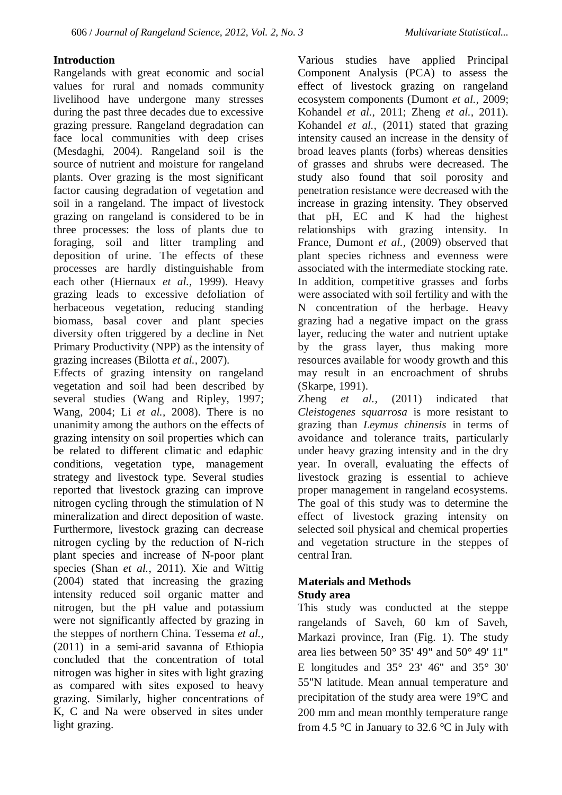## **Introduction**

Rangelands with great economic and social values for rural and nomads community livelihood have undergone many stresses during the past three decades due to excessive grazing pressure. Rangeland degradation can face local communities with deep crises (Mesdaghi, 2004). Rangeland soil is the source of nutrient and moisture for rangeland plants. Over grazing is the most significant factor causing degradation of vegetation and soil in a rangeland. The impact of livestock grazing on rangeland is considered to be in three processes: the loss of plants due to foraging, soil and litter trampling and deposition of urine. The effects of these processes are hardly distinguishable from each other (Hiernaux *et al.,* 1999). Heavy grazing leads to excessive defoliation of herbaceous vegetation, reducing standing biomass, basal cover and plant species diversity often triggered by a decline in Net Primary Productivity (NPP) as the intensity of grazing increases (Bilotta *et al.,* 2007).

Effects of grazing intensity on rangeland vegetation and soil had been described by several studies (Wang and Ripley, 1997; Wang, 2004; Li *et al.,* 2008). There is no unanimity among the authors on the effects of grazing intensity on soil properties which can be related to different climatic and edaphic conditions, vegetation type, management strategy and livestock type. Several studies reported that livestock grazing can improve nitrogen cycling through the stimulation of N mineralization and direct deposition of waste. Furthermore, livestock grazing can decrease nitrogen cycling by the reduction of N-rich plant species and increase of N-poor plant species (Shan *et al.,* 2011). Xie and Wittig (2004) stated that increasing the grazing intensity reduced soil organic matter and nitrogen, but the pH value and potassium were not significantly affected by grazing in the steppes of northern China. Tessema *et al.,* (2011) in a semi-arid savanna of Ethiopia concluded that the concentration of total nitrogen was higher in sites with light grazing as compared with sites exposed to heavy grazing. Similarly, higher concentrations of K, C and Na were observed in sites under light grazing.

Various studies have applied Principal Component Analysis (PCA) to assess the effect of livestock grazing on rangeland ecosystem components (Dumont *et al.,* 2009; Kohandel *et al.,* 2011; Zheng *et al.,* 2011). Kohandel *et al.,* (2011) stated that grazing intensity caused an increase in the density of broad leaves plants (forbs) whereas densities of grasses and shrubs were decreased. The study also found that soil porosity and penetration resistance were decreased with the increase in grazing intensity. They observed that pH, EC and K had the highest relationships with grazing intensity. In France, Dumont *et al.,* (2009) observed that plant species richness and evenness were associated with the intermediate stocking rate. In addition, competitive grasses and forbs were associated with soil fertility and with the N concentration of the herbage. Heavy grazing had a negative impact on the grass layer, reducing the water and nutrient uptake by the grass layer, thus making more resources available for woody growth and this may result in an encroachment of shrubs (Skarpe, 1991).

Zheng *et al.,* (2011) indicated that *Cleistogenes squarrosa* is more resistant to grazing than *Leymus chinensis* in terms of avoidance and tolerance traits, particularly under heavy grazing intensity and in the dry year. In overall, evaluating the effects of livestock grazing is essential to achieve proper management in rangeland ecosystems. The goal of this study was to determine the effect of livestock grazing intensity on selected soil physical and chemical properties and vegetation structure in the steppes of central Iran.

## **Materials and Methods Study area**

This study was conducted at the steppe rangelands of Saveh, 60 km of Saveh, Markazi province, Iran (Fig. 1). The study area lies between 50° 35' 49" and 50° 49' 11" E longitudes and  $35^{\circ}$  23' 46" and  $35^{\circ}$  30' 55"N latitude. Mean annual temperature and precipitation of the study area were 19°C and 200 mm and mean monthly temperature range from 4.5  $\degree$ C in January to 32.6  $\degree$ C in July with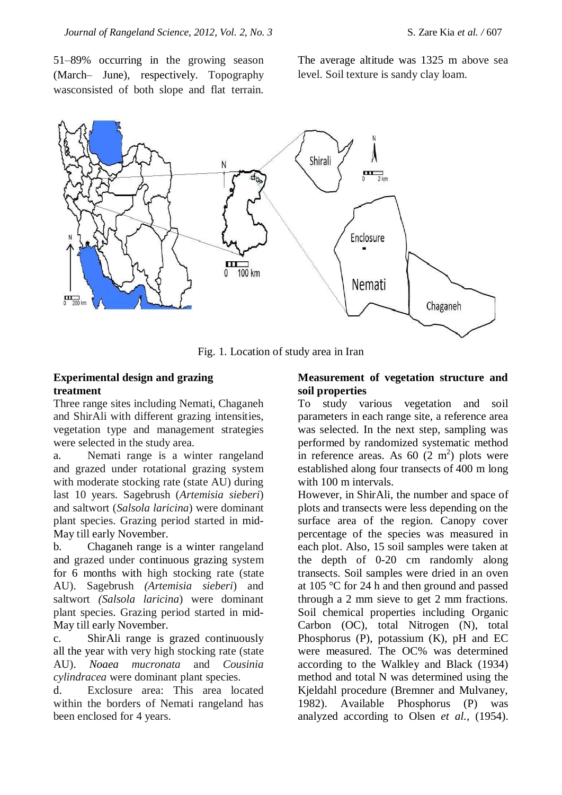51–89% occurring in the growing season (March– June), respectively. Topography wasconsisted of both slope and flat terrain.

The average altitude was 1325 m above sea level. Soil texture is sandy clay loam.



Fig. 1. Location of study area in Iran

## **Experimental design and grazing treatment**

Three range sites including Nemati, Chaganeh and ShirAli with different grazing intensities, vegetation type and management strategies were selected in the study area.

a. Nemati range is a winter rangeland and grazed under rotational grazing system with moderate stocking rate (state AU) during last 10 years. Sagebrush (*Artemisia sieberi*) and saltwort (*Salsola laricina*) were dominant plant species. Grazing period started in mid-May till early November.

b. Chaganeh range is a winter rangeland and grazed under continuous grazing system for 6 months with high stocking rate (state AU). Sagebrush *(Artemisia sieberi*) and saltwort *(Salsola laricina*) were dominant plant species. Grazing period started in mid-May till early November.

c. ShirAli range is grazed continuously all the year with very high stocking rate (state AU). *Noaea mucronata* and *Cousinia cylindracea* were dominant plant species.

d. Exclosure area: This area located within the borders of Nemati rangeland has been enclosed for 4 years.

#### **Measurement of vegetation structure and soil properties**

To study various vegetation and soil parameters in each range site, a reference area was selected. In the next step, sampling was performed by randomized systematic method in reference areas. As  $60(2 \text{ m}^2)$  plots were established along four transects of 400 m long with 100 m intervals.

However, in ShirAli, the number and space of plots and transects were less depending on the surface area of the region. Canopy cover percentage of the species was measured in each plot. Also, 15 soil samples were taken at the depth of 0-20 cm randomly along transects. Soil samples were dried in an oven at 105 °C for 24 h and then ground and passed through a 2 mm sieve to get 2 mm fractions. Soil chemical properties including Organic Carbon (OC), total Nitrogen (N), total Phosphorus (P), potassium (K), pH and EC were measured. The OC% was determined according to the Walkley and Black (1934) method and total N was determined using the Kjeldahl procedure (Bremner and Mulvaney, 1982). Available Phosphorus (P) was analyzed according to Olsen *et al.,* (1954).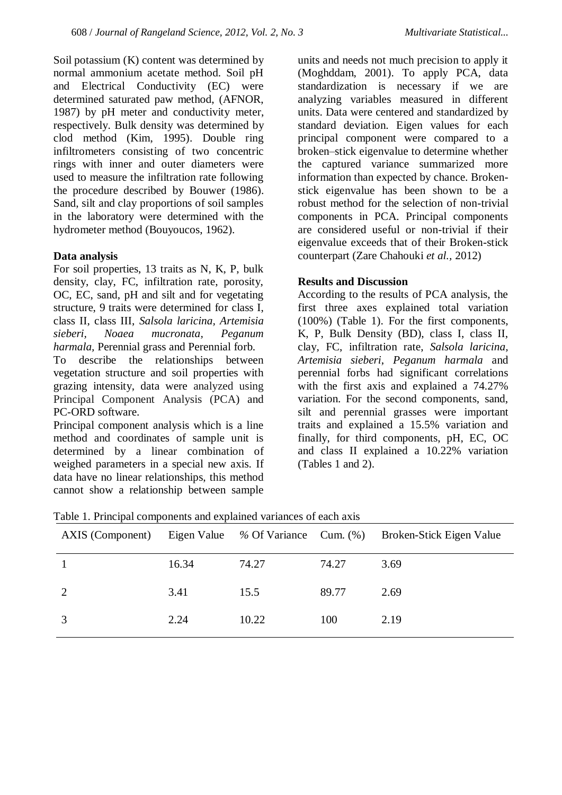Soil potassium (K) content was determined by normal ammonium acetate method. Soil pH and Electrical Conductivity (EC) were determined saturated paw method, (AFNOR, 1987) by pH meter and conductivity meter, respectively. Bulk density was determined by clod method (Kim, 1995). Double ring infiltrometers consisting of two concentric rings with inner and outer diameters were used to measure the infiltration rate following the procedure described by Bouwer (1986). Sand, silt and clay proportions of soil samples in the laboratory were determined with the hydrometer method (Bouyoucos, 1962).

#### **Data analysis**

For soil properties, 13 traits as N, K, P, bulk density, clay, FC, infiltration rate, porosity, OC, EC, sand, pH and silt and for vegetating structure, 9 traits were determined for class I, class II, class III, *Salsola laricina, Artemisia sieberi, Noaea mucronata, Peganum harmala,* Perennial grass and Perennial forb.

To describe the relationships between vegetation structure and soil properties with grazing intensity, data were analyzed using Principal Component Analysis (PCA) and PC-ORD software.

Principal component analysis which is a line method and coordinates of sample unit is determined by a linear combination of weighed parameters in a special new axis. If data have no linear relationships, this method cannot show a relationship between sample

units and needs not much precision to apply it (Moghddam, 2001). To apply PCA, data standardization is necessary if we are analyzing variables measured in different units. Data were centered and standardized by standard deviation. Eigen values for each principal component were compared to a broken–stick eigenvalue to determine whether the captured variance summarized more information than expected by chance. Brokenstick eigenvalue has been shown to be a robust method for the selection of non-trivial components in PCA. Principal components are considered useful or non-trivial if their eigenvalue exceeds that of their Broken-stick counterpart (Zare Chahouki *et al.,* 2012)

## **Results and Discussion**

According to the results of PCA analysis, the first three axes explained total variation (100%) (Table 1). For the first components, K, P, Bulk Density (BD), class I, class II, clay, FC, infiltration rate, *Salsola laricina, Artemisia sieberi*, *Peganum harmala* and perennial forbs had significant correlations with the first axis and explained a 74.27% variation. For the second components, sand, silt and perennial grasses were important traits and explained a 15.5% variation and finally, for third components, pH, EC, OC and class II explained a 10.22% variation (Tables 1 and 2).

| AXIS (Component) |       |       |       | Eigen Value % Of Variance Cum. (%) Broken-Stick Eigen Value |
|------------------|-------|-------|-------|-------------------------------------------------------------|
|                  | 16.34 | 74.27 | 74.27 | 3.69                                                        |
| 2                | 3.41  | 15.5  | 89.77 | 2.69                                                        |
|                  | 2.24  | 10.22 | 100   | 2.19                                                        |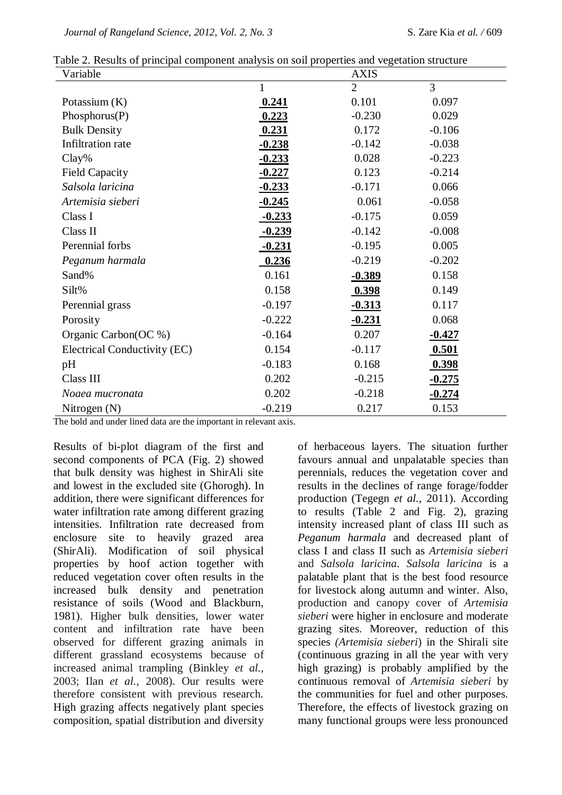| Variable                     |              | <b>AXIS</b>    |                |
|------------------------------|--------------|----------------|----------------|
|                              | $\mathbf{1}$ | $\overline{2}$ | $\overline{3}$ |
| Potassium $(K)$              | 0.241        | 0.101          | 0.097          |
| Phosphorus(P)                | 0.223        | $-0.230$       | 0.029          |
| <b>Bulk Density</b>          | 0.231        | 0.172          | $-0.106$       |
| Infiltration rate            | $-0.238$     | $-0.142$       | $-0.038$       |
| $Clay\%$                     | $-0.233$     | 0.028          | $-0.223$       |
| <b>Field Capacity</b>        | $-0.227$     | 0.123          | $-0.214$       |
| Salsola laricina             | $-0.233$     | $-0.171$       | 0.066          |
| Artemisia sieberi            | $-0.245$     | 0.061          | $-0.058$       |
| Class I                      | $-0.233$     | $-0.175$       | 0.059          |
| Class II                     | $-0.239$     | $-0.142$       | $-0.008$       |
| Perennial forbs              | $-0.231$     | $-0.195$       | 0.005          |
| Peganum harmala              | 0.236        | $-0.219$       | $-0.202$       |
| Sand%                        | 0.161        | $-0.389$       | 0.158          |
| Silt%                        | 0.158        | 0.398          | 0.149          |
| Perennial grass              | $-0.197$     | $-0.313$       | 0.117          |
| Porosity                     | $-0.222$     | $-0.231$       | 0.068          |
| Organic Carbon(OC %)         | $-0.164$     | 0.207          | $-0.427$       |
| Electrical Conductivity (EC) | 0.154        | $-0.117$       | 0.501          |
| pH                           | $-0.183$     | 0.168          | 0.398          |
| Class III                    | 0.202        | $-0.215$       | $-0.275$       |
| Noaea mucronata              | 0.202        | $-0.218$       | $-0.274$       |
| Nitrogen $(N)$               | $-0.219$     | 0.217          | 0.153          |

Table 2. Results of principal component analysis on soil properties and vegetation structure

The bold and under lined data are the important in relevant axis.

Results of bi-plot diagram of the first and second components of PCA (Fig. 2) showed that bulk density was highest in ShirAli site and lowest in the excluded site (Ghorogh). In addition, there were significant differences for water infiltration rate among different grazing intensities. Infiltration rate decreased from enclosure site to heavily grazed area (ShirAli). Modification of soil physical properties by hoof action together with reduced vegetation cover often results in the increased bulk density and penetration resistance of soils (Wood and Blackburn, 1981). Higher bulk densities, lower water content and infiltration rate have been observed for different grazing animals in different grassland ecosystems because of increased animal trampling (Binkley *et al.,* 2003; Ilan *et al.,* 2008). Our results were therefore consistent with previous research. High grazing affects negatively plant species composition, spatial distribution and diversity of herbaceous layers. The situation further favours annual and unpalatable species than perennials, reduces the vegetation cover and results in the declines of range forage/fodder production (Tegegn *et al.,* 2011). According to results (Table 2 and Fig. 2), grazing intensity increased plant of class III such as *Peganum harmala* and decreased plant of class I and class II such as *Artemisia sieberi* and *Salsola laricina*. *Salsola laricina* is a palatable plant that is the best food resource for livestock along autumn and winter. Also, production and canopy cover of *Artemisia sieberi* were higher in enclosure and moderate grazing sites. Moreover, reduction of this species *(Artemisia sieberi*) in the Shirali site (continuous grazing in all the year with very high grazing) is probably amplified by the continuous removal of *Artemisia sieberi* by the communities for fuel and other purposes. Therefore, the effects of livestock grazing on many functional groups were less pronounced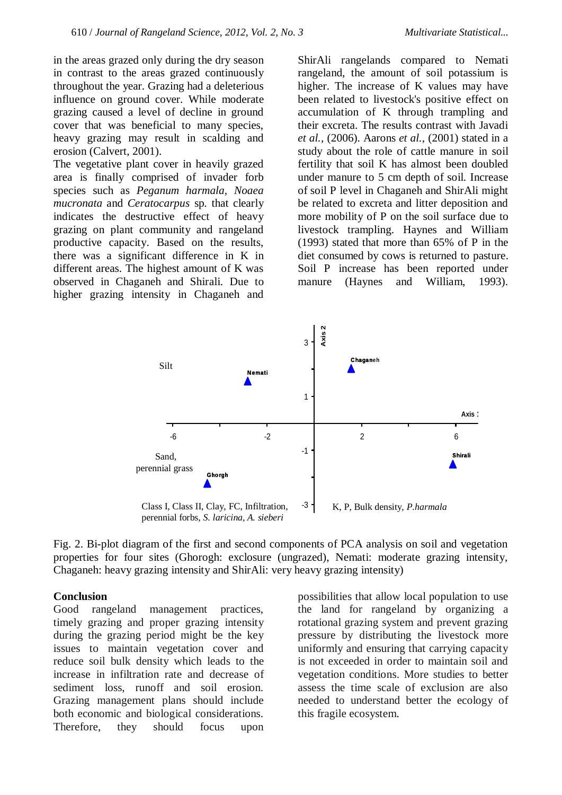in the areas grazed only during the dry season in contrast to the areas grazed continuously throughout the year. Grazing had a deleterious influence on ground cover. While moderate grazing caused a level of decline in ground cover that was beneficial to many species, heavy grazing may result in scalding and erosion (Calvert, 2001).

The vegetative plant cover in heavily grazed area is finally comprised of invader forb species such as *Peganum harmala, Noaea mucronata* and *Ceratocarpus* sp*.* that clearly indicates the destructive effect of heavy grazing on plant community and rangeland productive capacity. Based on the results, there was a significant difference in K in different areas. The highest amount of K was observed in Chaganeh and Shirali. Due to higher grazing intensity in Chaganeh and

ShirAli rangelands compared to Nemati rangeland, the amount of soil potassium is higher. The increase of K values may have been related to livestock's positive effect on accumulation of K through trampling and their excreta. The results contrast with Javadi *et al.,* (2006). Aarons *et al.,* (2001) stated in a study about the role of cattle manure in soil fertility that soil K has almost been doubled under manure to 5 cm depth of soil. Increase of soil P level in Chaganeh and ShirAli might be related to excreta and litter deposition and more mobility of P on the soil surface due to livestock trampling. Haynes and William (1993) stated that more than 65% of P in the diet consumed by cows is returned to pasture. Soil P increase has been reported under manure (Haynes and William, 1993).



Fig. 2. Bi-plot diagram of the first and second components of PCA analysis on soil and vegetation properties for four sites (Ghorogh: exclosure (ungrazed), Nemati: moderate grazing intensity, Chaganeh: heavy grazing intensity and ShirAli: very heavy grazing intensity)

#### **Conclusion**

Good rangeland management practices, timely grazing and proper grazing intensity during the grazing period might be the key issues to maintain vegetation cover and reduce soil bulk density which leads to the increase in infiltration rate and decrease of sediment loss, runoff and soil erosion. Grazing management plans should include both economic and biological considerations. Therefore, they should focus upon

possibilities that allow local population to use the land for rangeland by organizing a rotational grazing system and prevent grazing pressure by distributing the livestock more uniformly and ensuring that carrying capacity is not exceeded in order to maintain soil and vegetation conditions. More studies to better assess the time scale of exclusion are also needed to understand better the ecology of this fragile ecosystem.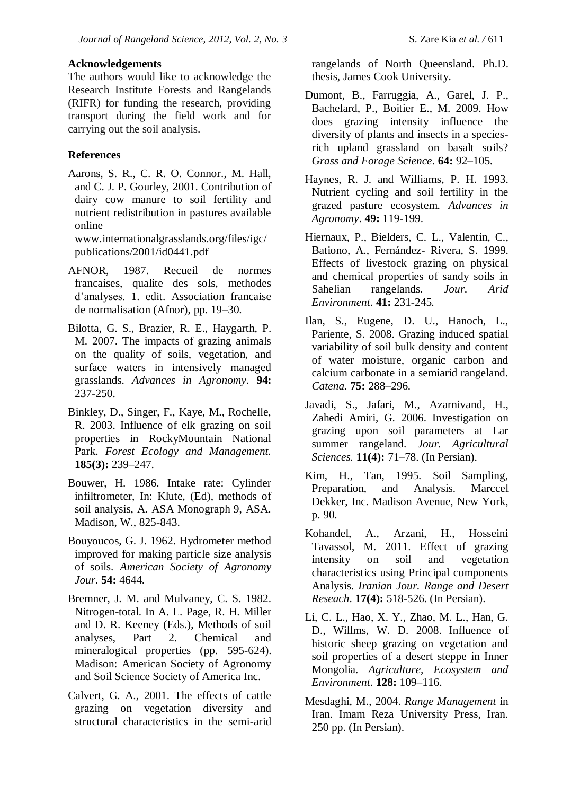#### **Acknowledgements**

The authors would like to acknowledge the Research Institute Forests and Rangelands (RIFR) for funding the research, providing transport during the field work and for carrying out the soil analysis.

#### **References**

Aarons, S. R., C. R. O. Connor., M. Hall, and C. J. P. Gourley, 2001. Contribution of dairy cow manure to soil fertility and nutrient redistribution in pastures available online

www.internationalgrasslands.org/files/igc/ publications/2001/id0441.pdf

- AFNOR, 1987. Recueil de normes francaises, qualite des sols, methodes d'analyses. 1. edit. Association francaise de normalisation (Afnor), pp. 19–30.
- Bilotta, G. S., Brazier, R. E., Haygarth, P. M. 2007. The impacts of grazing animals on the quality of soils, vegetation, and surface waters in intensively managed grasslands. *Advances in Agronomy*. **94:** 237-250.
- Binkley, D., Singer, F., Kaye, M., Rochelle, R. 2003. Influence of elk grazing on soil properties in RockyMountain National Park. *Forest Ecology and Management.* **185(3):** 239–247.
- Bouwer, H. 1986. Intake rate: Cylinder infiltrometer, In: Klute, (Ed), methods of soil analysis, A. ASA Monograph 9, ASA. Madison, W., 825-843.
- Bouyoucos, G. J. 1962. Hydrometer method improved for making particle size analysis of soils. *American Society of Agronomy Jour*. **54:** 4644.
- Bremner, J. M. and Mulvaney, C. S. 1982. Nitrogen-total. In A. L. Page, R. H. Miller and D. R. Keeney (Eds.), Methods of soil analyses, Part 2. Chemical and mineralogical properties (pp. 595-624). Madison: American Society of Agronomy and Soil Science Society of America Inc.
- Calvert, G. A., 2001. The effects of cattle grazing on vegetation diversity and structural characteristics in the semi-arid

rangelands of North Queensland. Ph.D. thesis, James Cook University.

- Dumont, B., Farruggia, A., Garel, J. P., Bachelard, P., Boitier E., M. 2009. How does grazing intensity influence the diversity of plants and insects in a speciesrich upland grassland on basalt soils? *Grass and Forage Science*. **64:** 92–105.
- Haynes, R. J. and Williams, P. H. 1993. Nutrient cycling and soil fertility in the grazed pasture ecosystem. *Advances in Agronomy*. **49:** 119-199.
- Hiernaux, P., Bielders, C. L., Valentin, C., Bationo, A., Fernández- Rivera, S. 1999. Effects of livestock grazing on physical and chemical properties of sandy soils in Sahelian rangelands. *Jour. Arid Environment*. **41:** 231-245*.*
- Ilan, S., Eugene, D. U., Hanoch, L., Pariente, S. 2008. Grazing induced spatial variability of soil bulk density and content of water moisture, organic carbon and calcium carbonate in a semiarid rangeland. *Catena.* **75:** 288–296.
- Javadi, S., Jafari, M., Azarnivand, H., Zahedi Amiri, G. 2006. Investigation on grazing upon soil parameters at Lar summer rangeland. *Jour. Agricultural Sciences.* **11(4):** 71–78. (In Persian).
- Kim, H., Tan, 1995. Soil Sampling, Preparation, and Analysis. Marccel Dekker, Inc. Madison Avenue, New York, p. 90.
- Kohandel, A., Arzani, H., Hosseini Tavassol, M. 2011. Effect of grazing intensity on soil and vegetation characteristics using Principal components Analysis. *Iranian Jour. Range and Desert Reseach*. **17(4):** 518-526. (In Persian).
- Li, C. L., Hao, X. Y., Zhao, M. L., Han, G. D., Willms, W. D. 2008. Influence of historic sheep grazing on vegetation and soil properties of a desert steppe in Inner Mongolia. *Agriculture, Ecosystem and Environment*. **128:** 109–116.
- Mesdaghi, M., 2004. *Range Management* in Iran. Imam Reza University Press, Iran. 250 pp. (In Persian).